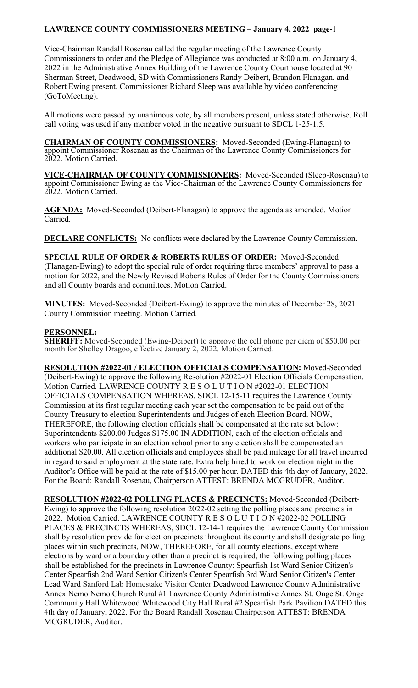Vice-Chairman Randall Rosenau called the regular meeting of the Lawrence County Commissioners to order and the Pledge of Allegiance was conducted at 8:00 a.m. on January 4, 2022 in the Administrative Annex Building of the Lawrence County Courthouse located at 90 Sherman Street, Deadwood, SD with Commissioners Randy Deibert, Brandon Flanagan, and Robert Ewing present. Commissioner Richard Sleep was available by video conferencing (GoToMeeting).

All motions were passed by unanimous vote, by all members present, unless stated otherwise. Roll call voting was used if any member voted in the negative pursuant to SDCL 1-25-1.5.

**CHAIRMAN OF COUNTY COMMISSIONERS:** Moved-Seconded (Ewing-Flanagan) to appoint Commissioner Rosenau as the Chairman of the Lawrence County Commissioners for 2022. Motion Carried.

**VICE-CHAIRMAN OF COUNTY COMMISSIONERS:** Moved-Seconded (Sleep-Rosenau) to appoint Commissioner Ewing as the Vice-Chairman of the Lawrence County Commissioners for 2022. Motion Carried.

**AGENDA:** Moved-Seconded (Deibert-Flanagan) to approve the agenda as amended. Motion Carried.

**DECLARE CONFLICTS:** No conflicts were declared by the Lawrence County Commission.

**SPECIAL RULE OF ORDER & ROBERTS RULES OF ORDER:** Moved-Seconded (Flanagan-Ewing) to adopt the special rule of order requiring three members' approval to pass a motion for 2022, and the Newly Revised Roberts Rules of Order for the County Commissioners and all County boards and committees. Motion Carried.

**MINUTES:** Moved-Seconded (Deibert-Ewing) to approve the minutes of December 28, 2021 County Commission meeting. Motion Carried.

### **PERSONNEL:**

**SHERIFF:** Moved-Seconded (Ewing-Deibert) to approve the cell phone per diem of \$50.00 per month for Shelley Dragoo, effective January 2, 2022. Motion Carried.

**RESOLUTION #2022-01 / ELECTION OFFICIALS COMPENSATION:** Moved-Seconded (Deibert-Ewing) to approve the following Resolution #2022-01 Election Officials Compensation. Motion Carried. LAWRENCE COUNTY R E S O L U T I O N #2022-01 ELECTION OFFICIALS COMPENSATION WHEREAS, SDCL 12-15-11 requires the Lawrence County Commission at its first regular meeting each year set the compensation to be paid out of the County Treasury to election Superintendents and Judges of each Election Board. NOW, THEREFORE, the following election officials shall be compensated at the rate set below: Superintendents \$200.00 Judges \$175.00 IN ADDITION, each of the election officials and workers who participate in an election school prior to any election shall be compensated an additional \$20.00. All election officials and employees shall be paid mileage for all travel incurred in regard to said employment at the state rate. Extra help hired to work on election night in the Auditor's Office will be paid at the rate of \$15.00 per hour. DATED this 4th day of January, 2022. For the Board: Randall Rosenau, Chairperson ATTEST: BRENDA MCGRUDER, Auditor.

**RESOLUTION #2022-02 POLLING PLACES & PRECINCTS:** Moved-Seconded (Deibert-Ewing) to approve the following resolution 2022-02 setting the polling places and precincts in 2022. Motion Carried. LAWRENCE COUNTY R E S O L U T I O N #2022-02 POLLING PLACES & PRECINCTS WHEREAS, SDCL 12-14-1 requires the Lawrence County Commission shall by resolution provide for election precincts throughout its county and shall designate polling places within such precincts, NOW, THEREFORE, for all county elections, except where elections by ward or a boundary other than a precinct is required, the following polling places shall be established for the precincts in Lawrence County: Spearfish 1st Ward Senior Citizen's Center Spearfish 2nd Ward Senior Citizen's Center Spearfish 3rd Ward Senior Citizen's Center Lead Ward Sanford Lab Homestake Visitor Center Deadwood Lawrence County Administrative Annex Nemo Nemo Church Rural #1 Lawrence County Administrative Annex St. Onge St. Onge Community Hall Whitewood Whitewood City Hall Rural #2 Spearfish Park Pavilion DATED this 4th day of January, 2022. For the Board Randall Rosenau Chairperson ATTEST: BRENDA MCGRUDER, Auditor.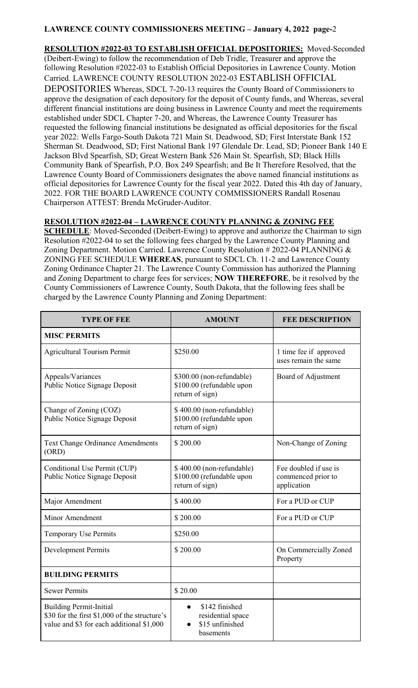**RESOLUTION #2022-03 TO ESTABLISH OFFICIAL DEPOSITORIES:** Moved-Seconded (Deibert-Ewing) to follow the recommendation of Deb Tridle, Treasurer and approve the following Resolution #2022-03 to Establish Official Depositories in Lawrence County. Motion Carried. LAWRENCE COUNTY RESOLUTION 2022-03 ESTABLISH OFFICIAL DEPOSITORIES Whereas, SDCL 7-20-13 requires the County Board of Commissioners to approve the designation of each depository for the deposit of County funds, and Whereas, several different financial institutions are doing business in Lawrence County and meet the requirements established under SDCL Chapter 7-20, and Whereas, the Lawrence County Treasurer has requested the following financial institutions be designated as official depositories for the fiscal year 2022: Wells Fargo-South Dakota 721 Main St. Deadwood, SD; First Interstate Bank 152 Sherman St. Deadwood, SD; First National Bank 197 Glendale Dr. Lead, SD; Pioneer Bank 140 E Jackson Blvd Spearfish, SD; Great Western Bank 526 Main St. Spearfish, SD; Black Hills Community Bank of Spearfish, P.O. Box 249 Spearfish; and Be It Therefore Resolved, that the Lawrence County Board of Commissioners designates the above named financial institutions as official depositories for Lawrence County for the fiscal year 2022. Dated this 4th day of January, 2022. FOR THE BOARD LAWRENCE COUNTY COMMISSIONERS Randall Rosenau Chairperson ATTEST: Brenda McGruder-Auditor.

## **RESOLUTION #2022-04 – LAWRENCE COUNTY PLANNING & ZONING FEE**

**SCHEDULE**: Moved-Seconded (Deibert-Ewing) to approve and authorize the Chairman to sign Resolution #2022-04 to set the following fees charged by the Lawrence County Planning and Zoning Department. Motion Carried. Lawrence County Resolution # 2022-04 PLANNING & ZONING FEE SCHEDULE **WHEREAS**, pursuant to SDCL Ch. 11-2 and Lawrence County Zoning Ordinance Chapter 21. The Lawrence County Commission has authorized the Planning and Zoning Department to charge fees for services; **NOW THEREFORE**, be it resolved by the County Commissioners of Lawrence County, South Dakota, that the following fees shall be charged by the Lawrence County Planning and Zoning Department:

| <b>TYPE OF FEE</b>                                                                                                           | <b>AMOUNT</b>                                                                    | <b>FEE DESCRIPTION</b>                                     |  |
|------------------------------------------------------------------------------------------------------------------------------|----------------------------------------------------------------------------------|------------------------------------------------------------|--|
| <b>MISC PERMITS</b>                                                                                                          |                                                                                  |                                                            |  |
| <b>Agricultural Tourism Permit</b>                                                                                           | \$250.00                                                                         | 1 time fee if approved<br>uses remain the same             |  |
| Appeals/Variances<br>Public Notice Signage Deposit                                                                           | \$300.00 (non-refundable)<br>\$100.00 (refundable upon<br>return of sign)        | Board of Adjustment                                        |  |
| Change of Zoning (COZ)<br>Public Notice Signage Deposit                                                                      | \$400.00 (non-refundable)<br>\$100.00 (refundable upon<br>return of sign)        |                                                            |  |
| <b>Text Change Ordinance Amendments</b><br>(ORD)                                                                             | \$200.00                                                                         | Non-Change of Zoning                                       |  |
| Conditional Use Permit (CUP)<br>Public Notice Signage Deposit                                                                | \$400.00 (non-refundable)<br>\$100.00 (refundable upon<br>return of sign)        | Fee doubled if use is<br>commenced prior to<br>application |  |
| Major Amendment                                                                                                              | \$400.00                                                                         | For a PUD or CUP                                           |  |
| Minor Amendment                                                                                                              | \$200.00                                                                         | For a PUD or CUP                                           |  |
| <b>Temporary Use Permits</b>                                                                                                 | \$250.00                                                                         |                                                            |  |
| <b>Development Permits</b>                                                                                                   | \$200.00                                                                         | On Commercially Zoned<br>Property                          |  |
| <b>BUILDING PERMITS</b>                                                                                                      |                                                                                  |                                                            |  |
| <b>Sewer Permits</b>                                                                                                         | \$20.00                                                                          |                                                            |  |
| <b>Building Permit-Initial</b><br>\$30 for the first \$1,000 of the structure's<br>value and \$3 for each additional \$1,000 | \$142 finished<br>$\bullet$<br>residential space<br>\$15 unfinished<br>basements |                                                            |  |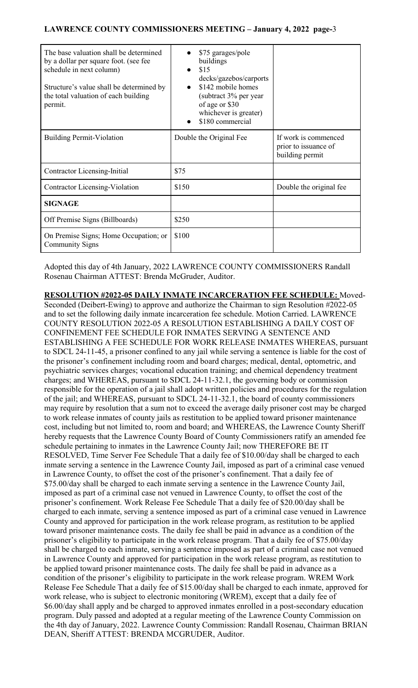| The base valuation shall be determined<br>by a dollar per square foot. (see fee<br>schedule in next column)<br>Structure's value shall be determined by<br>the total valuation of each building<br>permit. | \$75 garages/pole<br>buildings<br>\$15<br>$\bullet$<br>decks/gazebos/carports<br>\$142 mobile homes<br>$\bullet$<br>(subtract 3% per year)<br>of age or \$30<br>whichever is greater)<br>\$180 commercial |                                                                 |
|------------------------------------------------------------------------------------------------------------------------------------------------------------------------------------------------------------|-----------------------------------------------------------------------------------------------------------------------------------------------------------------------------------------------------------|-----------------------------------------------------------------|
| <b>Building Permit-Violation</b>                                                                                                                                                                           | Double the Original Fee                                                                                                                                                                                   | If work is commenced<br>prior to issuance of<br>building permit |
| Contractor Licensing-Initial                                                                                                                                                                               | \$75                                                                                                                                                                                                      |                                                                 |
| Contractor Licensing-Violation                                                                                                                                                                             | \$150                                                                                                                                                                                                     | Double the original fee                                         |
| <b>SIGNAGE</b>                                                                                                                                                                                             |                                                                                                                                                                                                           |                                                                 |
| Off Premise Signs (Billboards)                                                                                                                                                                             | \$250                                                                                                                                                                                                     |                                                                 |
| On Premise Signs; Home Occupation; or<br><b>Community Signs</b>                                                                                                                                            | \$100                                                                                                                                                                                                     |                                                                 |

Adopted this day of 4th January, 2022 LAWRENCE COUNTY COMMISSIONERS Randall Rosenau Chairman ATTEST: Brenda McGruder, Auditor.

**RESOLUTION #2022-05 DAILY INMATE INCARCERATION FEE SCHEDULE:** Moved-Seconded (Deibert-Ewing) to approve and authorize the Chairman to sign Resolution #2022-05 and to set the following daily inmate incarceration fee schedule. Motion Carried. LAWRENCE COUNTY RESOLUTION 2022-05 A RESOLUTION ESTABLISHING A DAILY COST OF CONFINEMENT FEE SCHEDULE FOR INMATES SERVING A SENTENCE AND ESTABLISHING A FEE SCHEDULE FOR WORK RELEASE INMATES WHEREAS, pursuant to SDCL 24-11-45, a prisoner confined to any jail while serving a sentence is liable for the cost of the prisoner's confinement including room and board charges; medical, dental, optometric, and psychiatric services charges; vocational education training; and chemical dependency treatment charges; and WHEREAS, pursuant to SDCL 24-11-32.1, the governing body or commission responsible for the operation of a jail shall adopt written policies and procedures for the regulation of the jail; and WHEREAS, pursuant to SDCL 24-11-32.1, the board of county commissioners may require by resolution that a sum not to exceed the average daily prisoner cost may be charged to work release inmates of county jails as restitution to be applied toward prisoner maintenance cost, including but not limited to, room and board; and WHEREAS, the Lawrence County Sheriff hereby requests that the Lawrence County Board of County Commissioners ratify an amended fee schedule pertaining to inmates in the Lawrence County Jail; now THEREFORE BE IT RESOLVED, Time Server Fee Schedule That a daily fee of \$10.00/day shall be charged to each inmate serving a sentence in the Lawrence County Jail, imposed as part of a criminal case venued in Lawrence County, to offset the cost of the prisoner's confinement. That a daily fee of \$75.00/day shall be charged to each inmate serving a sentence in the Lawrence County Jail, imposed as part of a criminal case not venued in Lawrence County, to offset the cost of the prisoner's confinement. Work Release Fee Schedule That a daily fee of \$20.00/day shall be charged to each inmate, serving a sentence imposed as part of a criminal case venued in Lawrence County and approved for participation in the work release program, as restitution to be applied toward prisoner maintenance costs. The daily fee shall be paid in advance as a condition of the prisoner's eligibility to participate in the work release program. That a daily fee of \$75.00/day shall be charged to each inmate, serving a sentence imposed as part of a criminal case not venued in Lawrence County and approved for participation in the work release program, as restitution to be applied toward prisoner maintenance costs. The daily fee shall be paid in advance as a condition of the prisoner's eligibility to participate in the work release program. WREM Work Release Fee Schedule That a daily fee of \$15.00/day shall be charged to each inmate, approved for work release, who is subject to electronic monitoring (WREM), except that a daily fee of \$6.00/day shall apply and be charged to approved inmates enrolled in a post-secondary education program. Duly passed and adopted at a regular meeting of the Lawrence County Commission on the 4th day of January, 2022. Lawrence County Commission: Randall Rosenau, Chairman BRIAN DEAN, Sheriff ATTEST: BRENDA MCGRUDER, Auditor.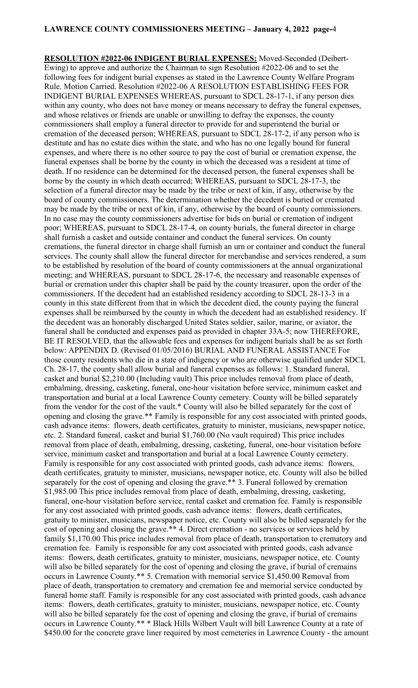**RESOLUTION #2022-06 INDIGENT BURIAL EXPENSES:** Moved-Seconded (Deibert-Ewing) to approve and authorize the Chairman to sign Resolution #2022-06 and to set the following fees for indigent burial expenses as stated in the Lawrence County Welfare Program Rule. Motion Carried. Resolution #2022-06 A RESOLUTION ESTABLISHING FEES FOR INDIGENT BURIAL EXPENSES WHEREAS, pursuant to SDCL 28-17-1, if any person dies within any county, who does not have money or means necessary to defray the funeral expenses, and whose relatives or friends are unable or unwilling to defray the expenses, the county commissioners shall employ a funeral director to provide for and superintend the burial or cremation of the deceased person; WHEREAS, pursuant to SDCL 28-17-2, if any person who is destitute and has no estate dies within the state, and who has no one legally bound for funeral expenses, and where there is no other source to pay the cost of burial or cremation expense, the funeral expenses shall be borne by the county in which the deceased was a resident at time of death. If no residence can be determined for the deceased person, the funeral expenses shall be borne by the county in which death occurred; WHEREAS, pursuant to SDCL 28-17-3, the selection of a funeral director may be made by the tribe or next of kin, if any, otherwise by the board of county commissioners. The determination whether the decedent is buried or cremated may be made by the tribe or next of kin, if any, otherwise by the board of county commissioners. In no case may the county commissioners advertise for bids on burial or cremation of indigent poor; WHEREAS, pursuant to SDCL 28-17-4, on county burials, the funeral director in charge shall furnish a casket and outside container and conduct the funeral services. On county cremations, the funeral director in charge shall furnish an urn or container and conduct the funeral services. The county shall allow the funeral director for merchandise and services rendered, a sum to be established by resolution of the board of county commissioners at the annual organizational meeting; and WHEREAS, pursuant to SDCL 28-17-6, the necessary and reasonable expenses of burial or cremation under this chapter shall be paid by the county treasurer, upon the order of the commissioners. If the decedent had an established residency according to SDCL 28-13-3 in a county in this state different from that in which the decedent died, the county paying the funeral expenses shall be reimbursed by the county in which the decedent had an established residency. If the decedent was an honorably discharged United States soldier, sailor, marine, or aviator, the funeral shall be conducted and expenses paid as provided in chapter 33A-5; now THEREFORE, BE IT RESOLVED, that the allowable fees and expenses for indigent burials shall be as set forth below: APPENDIX D. (Revised 01/05/2016) BURIAL AND FUNERAL ASSISTANCE For those county residents who die in a state of indigency or who are otherwise qualified under SDCL Ch. 28-17, the county shall allow burial and funeral expenses as follows: 1. Standard funeral, casket and burial \$2,210.00 (Including vault) This price includes removal from place of death, embalming, dressing, casketing, funeral, one-hour visitation before service, minimum casket and transportation and burial at a local Lawrence County cemetery. County will be billed separately from the vendor for the cost of the vault.\* County will also be billed separately for the cost of opening and closing the grave.\*\* Family is responsible for any cost associated with printed goods, cash advance items: flowers, death certificates, gratuity to minister, musicians, newspaper notice, etc. 2. Standard funeral, casket and burial \$1,760.00 (No vault required) This price includes removal from place of death, embalming, dressing, casketing, funeral, one-hour visitation before service, minimum casket and transportation and burial at a local Lawrence County cemetery. Family is responsible for any cost associated with printed goods, cash advance items: flowers, death certificates, gratuity to minister, musicians, newspaper notice, etc. County will also be billed separately for the cost of opening and closing the grave.\*\* 3. Funeral followed by cremation \$1,985.00 This price includes removal from place of death, embalming, dressing, casketing, funeral, one-hour visitation before service, rental casket and cremation fee. Family is responsible for any cost associated with printed goods, cash advance items: flowers, death certificates, gratuity to minister, musicians, newspaper notice, etc. County will also be billed separately for the cost of opening and closing the grave.\*\* 4. Direct cremation - no services or services held by family \$1,170.00 This price includes removal from place of death, transportation to crematory and cremation fee. Family is responsible for any cost associated with printed goods, cash advance items: flowers, death certificates, gratuity to minister, musicians, newspaper notice, etc. County will also be billed separately for the cost of opening and closing the grave, if burial of cremains occurs in Lawrence County.\*\* 5. Cremation with memorial service \$1,450.00 Removal from place of death, transportation to crematory and cremation fee and memorial service conducted by funeral home staff. Family is responsible for any cost associated with printed goods, cash advance items: flowers, death certificates, gratuity to minister, musicians, newspaper notice, etc. County will also be billed separately for the cost of opening and closing the grave, if burial of cremains occurs in Lawrence County.\*\* \* Black Hills Wilbert Vault will bill Lawrence County at a rate of \$450.00 for the concrete grave liner required by most cemeteries in Lawrence County - the amount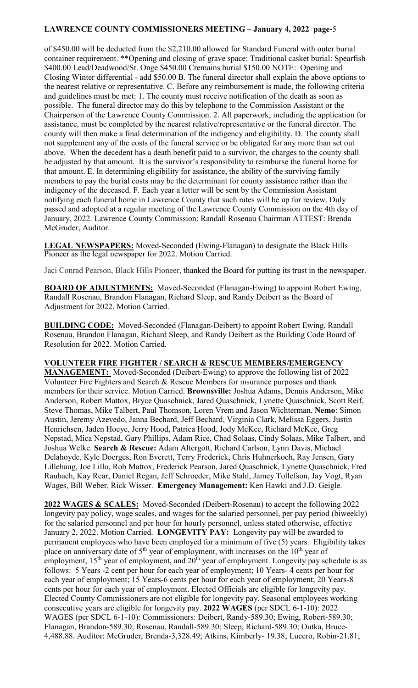of \$450.00 will be deducted from the \$2,210.00 allowed for Standard Funeral with outer burial container requirement. \*\*Opening and closing of grave space: Traditional casket burial: Spearfish \$400.00 Lead/Deadwood/St. Onge \$450.00 Cremains burial \$150.00 NOTE: Opening and Closing Winter differential - add \$50.00 B. The funeral director shall explain the above options to the nearest relative or representative. C. Before any reimbursement is made, the following criteria and guidelines must be met: 1. The county must receive notification of the death as soon as possible. The funeral director may do this by telephone to the Commission Assistant or the Chairperson of the Lawrence County Commission. 2. All paperwork, including the application for assistance, must be completed by the nearest relative/representative or the funeral director. The county will then make a final determination of the indigency and eligibility. D. The county shall not supplement any of the costs of the funeral service or be obligated for any more than set out above. When the decedent has a death benefit paid to a survivor, the charges to the county shall be adjusted by that amount. It is the survivor's responsibility to reimburse the funeral home for that amount. E. In determining eligibility for assistance, the ability of the surviving family members to pay the burial costs may be the determinant for county assistance rather than the indigency of the deceased. F. Each year a letter will be sent by the Commission Assistant notifying each funeral home in Lawrence County that such rates will be up for review. Duly passed and adopted at a regular meeting of the Lawrence County Commission on the 4th day of January, 2022. Lawrence County Commission: Randall Rosenau Chairman ATTEST: Brenda McGruder, Auditor.

**LEGAL NEWSPAPERS:** Moved-Seconded (Ewing-Flanagan) to designate the Black Hills Pioneer as the legal newspaper for 2022. Motion Carried.

Jaci Conrad Pearson, Black Hills Pioneer, thanked the Board for putting its trust in the newspaper.

**BOARD OF ADJUSTMENTS:** Moved-Seconded (Flanagan-Ewing) to appoint Robert Ewing, Randall Rosenau, Brandon Flanagan, Richard Sleep, and Randy Deibert as the Board of Adjustment for 2022. Motion Carried.

**BUILDING CODE:** Moved-Seconded (Flanagan-Deibert) to appoint Robert Ewing, Randall Rosenau, Brandon Flanagan, Richard Sleep, and Randy Deibert as the Building Code Board of Resolution for 2022. Motion Carried.

### **VOLUNTEER FIRE FIGHTER / SEARCH & RESCUE MEMBERS/EMERGENCY**

**MANAGEMENT:** Moved-Seconded (Deibert-Ewing) to approve the following list of 2022 Volunteer Fire Fighters and Search & Rescue Members for insurance purposes and thank members for their service. Motion Carried. **Brownsville:** Joshua Adams, Dennis Anderson, Mike Anderson, Robert Mattox, Bryce Quaschnick, Jared Quaschnick, Lynette Quaschnick, Scott Reif, Steve Thomas, Mike Talbert, Paul Thomson, Loren Vrem and Jason Wichterman. **Nemo**: Simon Austin, Jeremy Azevedo, Janna Bechard, Jeff Bechard, Virginia Clark, Melissa Eggers, Justin Henrichsen, Jaden Hoeye, Jerry Hood, Patrica Hood, Jody McKee, Richard McKee, Greg Nepstad, Mica Nepstad, Gary Phillips, Adam Rice, Chad Solaas, Cindy Solaas, Mike Talbert, and Joshua Welke. **Search & Rescue:** Adam Altergott, Richard Carlson, Lynn Davis, Michael Delahoyde, Kyle Doerges, Ron Everett, Terry Frederick, Chris Huhnerkoch, Ray Jensen, Gary Lillehaug, Joe Lillo, Rob Mattox, Frederick Pearson, Jared Quaschnick, Lynette Quaschnick, Fred Raubach, Kay Rear, Daniel Regan, Jeff Schroeder, Mike Stahl, Jamey Tollefson, Jay Vogt, Ryan Wages, Bill Weber, Rick Wisser. **Emergency Management:** Ken Hawki and J.D. Geigle.

**2022 WAGES & SCALES:** Moved-Seconded (Deibert-Rosenau) to accept the following 2022 longevity pay policy, wage scales, and wages for the salaried personnel, per pay period (biweekly) for the salaried personnel and per hour for hourly personnel, unless stated otherwise, effective January 2, 2022. Motion Carried. **LONGEVITY PAY:** Longevity pay will be awarded to permanent employees who have been employed for a minimum of five (5) years. Eligibility takes place on anniversary date of  $5<sup>th</sup>$  year of employment, with increases on the  $10<sup>th</sup>$  year of employment,  $15<sup>th</sup>$  year of employment, and  $20<sup>th</sup>$  year of employment. Longevity pay schedule is as follows: 5 Years -2 cent per hour for each year of employment; 10 Years- 4 cents per hour for each year of employment; 15 Years-6 cents per hour for each year of employment; 20 Years-8 cents per hour for each year of employment. Elected Officials are eligible for longevity pay. Elected County Commissioners are not eligible for longevity pay. Seasonal employees working consecutive years are eligible for longevity pay. **2022 WAGES** (per SDCL 6-1-10): 2022 WAGES (per SDCL 6-1-10): Commissioners: Deibert, Randy-589.30; Ewing, Robert-589.30; Flanagan, Brandon-589.30; Rosenau, Randall-589.30; Sleep, Richard-589.30; Outka, Bruce-4,488.88. Auditor: McGruder, Brenda-3,328.49; Atkins, Kimberly- 19.38; Lucero, Robin-21.81;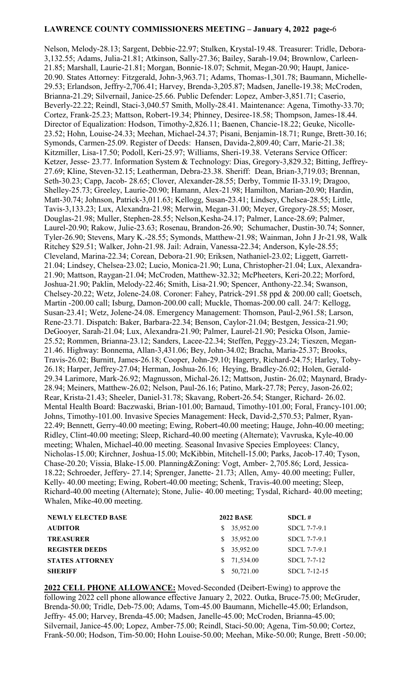Nelson, Melody-28.13; Sargent, Debbie-22.97; Stulken, Krystal-19.48. Treasurer: Tridle, Debora-3,132.55; Adams, Julia-21.81; Atkinson, Sally-27.36; Bailey, Sarah-19.04; Brownlow, Carleen-21.85; Marshall, Laurie-21.81; Morgan, Bonnie-18.07; Schmit, Megan-20.90; Haupt, Janice-20.90. States Attorney: Fitzgerald, John-3,963.71; Adams, Thomas-1,301.78; Baumann, Michelle-29.53; Erlandson, Jeffry-2,706.41; Harvey, Brenda-3,205.87; Madsen, Janelle-19.38; McCroden, Brianna-21.29; Silvernail, Janice-25.66. Public Defender: Lopez, Amber-3,851.71; Caserio, Beverly-22.22; Reindl, Staci-3,040.57 Smith, Molly-28.41. Maintenance: Agena, Timothy-33.70; Cortez, Frank-25.23; Mattson, Robert-19.34; Phinney, Desiree-18.58; Thompson, James-18.44. Director of Equalization: Hodson, Timothy-2,826.11; Baenen, Chancie-18.22; Geuke, Nicolle-23.52; Hohn, Louise-24.33; Meehan, Michael-24.37; Pisani, Benjamin-18.71; Runge, Brett-30.16; Symonds, Carmen-25.09. Register of Deeds: Hansen, Davida-2,809.40; Carr, Marie-21.38; Kitzmiller, Lisa-17.50; Podoll, Keri-25.97; Williams, Sheri-19.38. Veterans Service Officer: Ketzer, Jesse- 23.77. Information System & Technology: Dias, Gregory-3,829.32; Bitting, Jeffrey-27.69; Kline, Steven-32.15; Leatherman, Debra-23.38. Sheriff: Dean, Brian-3,719.03; Brennan, Seth-30.23; Capp, Jacob- 28.65; Clover, Alexander-28.55; Derby, Tommie II-33.19; Dragoo, Shelley-25.73; Greeley, Laurie-20.90; Hamann, Alex-21.98; Hamilton, Marian-20.90; Hardin, Matt-30.74; Johnson, Patrick-3,011.63; Kellogg, Susan-23.41; Lindsey, Chelsea-28.55; Little, Tavis-3,133.23; Lux, Alexandra-21.98; Merwin, Megan-31.00; Meyer, Gregory-28.55; Moser, Douglas-21.98; Muller, Stephen-28.55; Nelson,Kesha-24.17; Palmer, Lance-28.69; Palmer, Laurel-20.90; Rakow, Julie-23.63; Rosenau, Brandon-26.90; Schumacher, Dustin-30.74; Sonner, Tyler-26.90; Stevens, Mary K.-28.55; Symonds, Matthew-21.98; Wainman, John J Jr-21.98, Walk Ritchey \$29.51; Walker, John-21.98. Jail: Adrain, Vanessa-22.34; Anderson, Kyle-28.55; Cleveland, Marina-22.34; Corean, Debora-21.90; Eriksen, Nathaniel-23.02; Liggett, Garrett-21.04; Lindsey, Chelsea-23.02; Lucio, Monica-21.90; Luna, Christopher-21.04; Lux, Alexandra-21.90; Mattson, Raygan-21.04; McCroden, Matthew-32.32; McPheeters, Keri-20.22; Morford, Joshua-21.90; Paklin, Melody-22.46; Smith, Lisa-21.90; Spencer, Anthony-22.34; Swanson, Chelsey-20.22; Wetz, Jolene-24.08. Coroner: Fahey, Patrick-291.58 ppd & 200.00 call; Goetsch, Martin -200.00 call; Isburg, Damon-200.00 call; Muckle, Thomas-200.00 call. 24/7: Kellogg, Susan-23.41; Wetz, Jolene-24.08. Emergency Management: Thomson, Paul-2,961.58; Larson, Rene-23.71. Dispatch: Baker, Barbara-22.34; Benson, Caylor-21.04; Bestgen, Jessica-21.90; DeGooyer, Sarah-21.04; Lux, Alexandra-21.90; Palmer, Laurel-21.90; Pesicka Olson, Jamie-25.52; Rommen, Brianna-23.12; Sanders, Lacee-22.34; Steffen, Peggy-23.24; Tieszen, Megan-21.46. Highway: Bonnema, Allan-3,431.06; Bey, John-34.02; Bracha, Maria-25.37; Brooks, Travis-26.02; Burnitt, James-26.18; Cooper, John-29.10; Hagerty, Richard-24.75; Harley, Toby-26.18; Harper, Jeffrey-27.04; Herman, Joshua-26.16; Heying, Bradley-26.02; Holen, Gerald-29.34 Larimore, Mark-26.92; Magnusson, Michal-26.12; Mattson, Justin- 26.02; Maynard, Brady-28.94; Meiners, Matthew-26.02; Nelson, Paul-26.16; Patino, Mark-27.78; Percy, Jason-26.02; Rear, Krista-21.43; Sheeler, Daniel-31.78; Skavang, Robert-26.54; Stanger, Richard- 26.02. Mental Health Board: Baczwaski, Brian-101.00; Barnaud, Timothy-101.00; Foral, Francy-101.00; Johns, Timothy-101.00. Invasive Species Management: Heck, David-2,570.53; Palmer, Ryan-22.49; Bennett, Gerry-40.00 meeting; Ewing, Robert-40.00 meeting; Hauge, John-40.00 meeting; Ridley, Clint-40.00 meeting; Sleep, Richard-40.00 meeting (Alternate); Vavruska, Kyle-40.00 meeting; Whalen, Michael-40.00 meeting. Seasonal Invasive Species Employees: Clancy, Nicholas-15.00; Kirchner, Joshua-15.00; McKibbin, Mitchell-15.00; Parks, Jacob-17.40; Tyson, Chase-20.20; Vissia, Blake-15.00. Planning&Zoning: Vogt, Amber- 2,705.86; Lord, Jessica-18.22; Schroeder, Jeffery- 27.14; Sprenger, Janette- 21.73; Allen, Amy- 40.00 meeting; Fuller, Kelly- 40.00 meeting; Ewing, Robert-40.00 meeting; Schenk, Travis-40.00 meeting; Sleep, Richard-40.00 meeting (Alternate); Stone, Julie- 40.00 meeting; Tysdal, Richard- 40.00 meeting; Whalen, Mike-40.00 meeting.

| <b>NEWLY ELECTED BASE</b> |    | <b>2022 BASE</b> | SDCL#        |
|---------------------------|----|------------------|--------------|
| <b>AUDITOR</b>            | S. | 35,952.00        | SDCL 7-7-9.1 |
| <b>TREASURER</b>          | S. | 35,952.00        | SDCL 7-7-9.1 |
| <b>REGISTER DEEDS</b>     | S. | 35,952.00        | SDCL 7-7-9.1 |
| <b>STATES ATTORNEY</b>    | S. | 71,534.00        | SDCL 7-7-12  |
| <b>SHERIFF</b>            | S  | 50,721.00        | SDCL 7-12-15 |

**2022 CELL PHONE ALLOWANCE:** Moved-Seconded (Deibert-Ewing) to approve the following 2022 cell phone allowance effective January 2, 2022. Outka, Bruce-75.00; McGruder, Brenda-50.00; Tridle, Deb-75.00; Adams, Tom-45.00 Baumann, Michelle-45.00; Erlandson, Jeffry- 45.00; Harvey, Brenda-45.00; Madsen, Janelle-45.00; McCroden, Brianna-45.00; Silvernail, Janice-45.00; Lopez, Amber-75.00; Reindl, Staci-50.00; Agena, Tim-50.00; Cortez, Frank-50.00; Hodson, Tim-50.00; Hohn Louise-50.00; Meehan, Mike-50.00; Runge, Brett -50.00;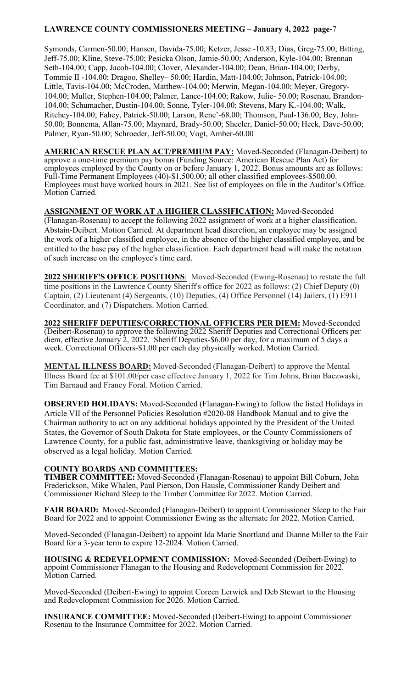Symonds, Carmen-50.00; Hansen, Davida-75.00; Ketzer, Jesse -10.83; Dias, Greg-75.00; Bitting, Jeff-75.00; Kline, Steve-75.00; Pesicka Olson, Jamie-50.00; Anderson, Kyle-104.00; Brennan Seth-104.00; Capp, Jacob-104.00; Clover, Alexander-104.00; Dean, Brian-104.00; Derby, Tommie II -104.00; Dragoo, Shelley– 50.00; Hardin, Matt-104.00; Johnson, Patrick-104.00; Little, Tavis-104.00; McCroden, Matthew-104.00; Merwin, Megan-104.00; Meyer, Gregory-104.00; Muller, Stephen-104.00; Palmer, Lance-104.00; Rakow, Julie- 50.00; Rosenau, Brandon-104.00; Schumacher, Dustin-104.00; Sonne, Tyler-104.00; Stevens, Mary K.-104.00; Walk, Ritchey-104.00; Fahey, Patrick-50.00; Larson, Rene'-68.00; Thomson, Paul-136.00; Bey, John-50.00; Bonnema, Allan-75.00; Maynard, Brady-50.00; Sheeler, Daniel-50.00; Heck, Dave-50.00; Palmer, Ryan-50.00; Schroeder, Jeff-50.00; Vogt, Amber-60.00

**AMERICAN RESCUE PLAN ACT/PREMIUM PAY:** Moved-Seconded (Flanagan-Deibert) to approve a one-time premium pay bonus (Funding Source: American Rescue Plan Act) for employees employed by the County on or before January 1, 2022. Bonus amounts are as follows: Full-Time Permanent Employees (40)-\$1,500.00; all other classified employees-\$500.00. Employees must have worked hours in 2021. See list of employees on file in the Auditor's Office. Motion Carried.

### **ASSIGNMENT OF WORK AT A HIGHER CLASSIFICATION:** Moved-Seconded (Flanagan-Rosenau) to accept the following 2022 assignment of work at a higher classification. Abstain-Deibert. Motion Carried. At department head discretion, an employee may be assigned the work of a higher classified employee, in the absence of the higher classified employee, and be entitled to the base pay of the higher classification. Each department head will make the notation of such increase on the employee's time card.

**2022 SHERIFF'S OFFICE POSITIONS**: Moved-Seconded (Ewing-Rosenau) to restate the full time positions in the Lawrence County Sheriff's office for 2022 as follows: (2) Chief Deputy (0) Captain, (2) Lieutenant (4) Sergeants, (10) Deputies, (4) Office Personnel (14) Jailers, (1) E911 Coordinator, and (7) Dispatchers. Motion Carried.

**2022 SHERIFF DEPUTIES/CORRECTIONAL OFFICERS PER DIEM:** Moved-Seconded (Deibert-Rosenau) to approve the following 2022 Sheriff Deputies and Correctional Officers per diem, effective January 2, 2022. Sheriff Deputies-\$6.00 per day, for a maximum of 5 days a week. Correctional Officers-\$1.00 per each day physically worked. Motion Carried.

**MENTAL ILLNESS BOARD:** Moved-Seconded (Flanagan-Deibert) to approve the Mental Illness Board fee at \$101.00/per case effective January 1, 2022 for Tim Johns, Brian Baczwaski, Tim Barnaud and Francy Foral. Motion Carried.

**OBSERVED HOLIDAYS:** Moved-Seconded (Flanagan-Ewing) to follow the listed Holidays in Article VII of the Personnel Policies Resolution #2020-08 Handbook Manual and to give the Chairman authority to act on any additional holidays appointed by the President of the United States, the Governor of South Dakota for State employees, or the County Commissioners of Lawrence County, for a public fast, administrative leave, thanksgiving or holiday may be observed as a legal holiday. Motion Carried.

### **COUNTY BOARDS AND COMMITTEES:**

**TIMBER COMMITTEE:** Moved-Seconded (Flanagan-Rosenau) to appoint Bill Coburn, John Frederickson, Mike Whalen, Paul Pierson, Don Hausle, Commissioner Randy Deibert and Commissioner Richard Sleep to the Timber Committee for 2022. Motion Carried.

**FAIR BOARD:** Moved-Seconded (Flanagan-Deibert) to appoint Commissioner Sleep to the Fair Board for 2022 and to appoint Commissioner Ewing as the alternate for 2022. Motion Carried.

Moved-Seconded (Flanagan-Deibert) to appoint Ida Marie Snortland and Dianne Miller to the Fair Board for a 3-year term to expire 12-2024. Motion Carried.

**HOUSING & REDEVELOPMENT COMMISSION:** Moved-Seconded (Deibert-Ewing) to appoint Commissioner Flanagan to the Housing and Redevelopment Commission for 2022. Motion Carried.

Moved-Seconded (Deibert-Ewing) to appoint Coreen Lerwick and Deb Stewart to the Housing and Redevelopment Commission for 2026. Motion Carried.

**INSURANCE COMMITTEE:** Moved-Seconded (Deibert-Ewing) to appoint Commissioner Rosenau to the Insurance Committee for 2022. Motion Carried.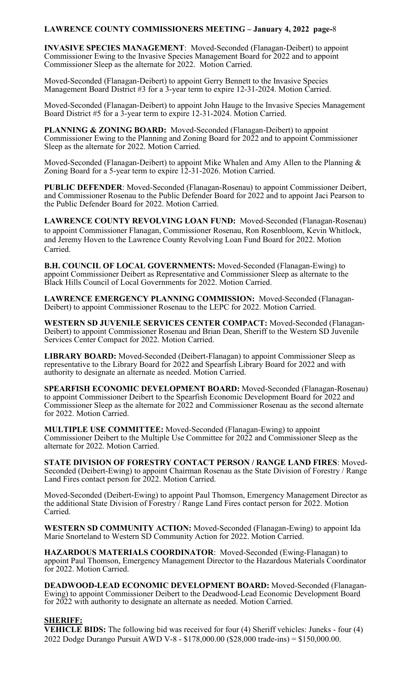**INVASIVE SPECIES MANAGEMENT**: Moved-Seconded (Flanagan-Deibert) to appoint Commissioner Ewing to the Invasive Species Management Board for 2022 and to appoint Commissioner Sleep as the alternate for 2022. Motion Carried.

Moved-Seconded (Flanagan-Deibert) to appoint Gerry Bennett to the Invasive Species Management Board District #3 for a 3-year term to expire 12-31-2024. Motion Carried.

Moved-Seconded (Flanagan-Deibert) to appoint John Hauge to the Invasive Species Management Board District #5 for a 3-year term to expire 12-31-2024. Motion Carried.

**PLANNING & ZONING BOARD:** Moved-Seconded (Flanagan-Deibert) to appoint Commissioner Ewing to the Planning and Zoning Board for 2022 and to appoint Commissioner Sleep as the alternate for 2022. Motion Carried.

Moved-Seconded (Flanagan-Deibert) to appoint Mike Whalen and Amy Allen to the Planning  $\&$ Zoning Board for a 5-year term to expire 12-31-2026. Motion Carried.

**PUBLIC DEFENDER**: Moved-Seconded (Flanagan-Rosenau) to appoint Commissioner Deibert, and Commissioner Rosenau to the Public Defender Board for 2022 and to appoint Jaci Pearson to the Public Defender Board for 2022. Motion Carried.

**LAWRENCE COUNTY REVOLVING LOAN FUND:** Moved-Seconded (Flanagan-Rosenau) to appoint Commissioner Flanagan, Commissioner Rosenau, Ron Rosenbloom, Kevin Whitlock, and Jeremy Hoven to the Lawrence County Revolving Loan Fund Board for 2022. Motion Carried.

**B.H. COUNCIL OF LOCAL GOVERNMENTS:** Moved-Seconded (Flanagan-Ewing) to appoint Commissioner Deibert as Representative and Commissioner Sleep as alternate to the Black Hills Council of Local Governments for 2022. Motion Carried.

**LAWRENCE EMERGENCY PLANNING COMMISSION:** Moved-Seconded (Flanagan-Deibert) to appoint Commissioner Rosenau to the LEPC for 2022. Motion Carried.

**WESTERN SD JUVENILE SERVICES CENTER COMPACT:** Moved-Seconded (Flanagan-Deibert) to appoint Commissioner Rosenau and Brian Dean, Sheriff to the Western SD Juvenile Services Center Compact for 2022. Motion Carried.

**LIBRARY BOARD:** Moved-Seconded (Deibert-Flanagan) to appoint Commissioner Sleep as representative to the Library Board for 2022 and Spearfish Library Board for 2022 and with authority to designate an alternate as needed. Motion Carried.

**SPEARFISH ECONOMIC DEVELOPMENT BOARD:** Moved-Seconded (Flanagan-Rosenau) to appoint Commissioner Deibert to the Spearfish Economic Development Board for 2022 and Commissioner Sleep as the alternate for 2022 and Commissioner Rosenau as the second alternate for 2022. Motion Carried.

**MULTIPLE USE COMMITTEE:** Moved-Seconded (Flanagan-Ewing) to appoint Commissioner Deibert to the Multiple Use Committee for 2022 and Commissioner Sleep as the alternate for 2022. Motion Carried.

**STATE DIVISION OF FORESTRY CONTACT PERSON / RANGE LAND FIRES**: Moved-Seconded (Deibert-Ewing) to appoint Chairman Rosenau as the State Division of Forestry / Range Land Fires contact person for 2022. Motion Carried.

Moved-Seconded (Deibert-Ewing) to appoint Paul Thomson, Emergency Management Director as the additional State Division of Forestry / Range Land Fires contact person for 2022. Motion Carried.

**WESTERN SD COMMUNITY ACTION:** Moved-Seconded (Flanagan-Ewing) to appoint Ida Marie Snorteland to Western SD Community Action for 2022. Motion Carried.

**HAZARDOUS MATERIALS COORDINATOR**: Moved-Seconded (Ewing-Flanagan) to appoint Paul Thomson, Emergency Management Director to the Hazardous Materials Coordinator for 2022. Motion Carried.

**DEADWOOD-LEAD ECONOMIC DEVELOPMENT BOARD:** Moved-Seconded (Flanagan-Ewing) to appoint Commissioner Deibert to the Deadwood-Lead Economic Development Board for 2022 with authority to designate an alternate as needed. Motion Carried.

### **SHERIFF:**

**VEHICLE BIDS:** The following bid was received for four (4) Sheriff vehicles: Juneks - four (4) 2022 Dodge Durango Pursuit AWD V-8 - \$178,000.00 (\$28,000 trade-ins) = \$150,000.00.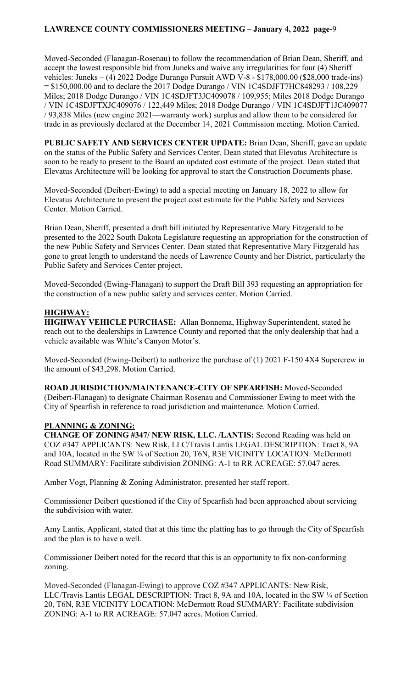Moved-Seconded (Flanagan-Rosenau) to follow the recommendation of Brian Dean, Sheriff, and accept the lowest responsible bid from Juneks and waive any irregularities for four (4) Sheriff vehicles: Juneks – (4) 2022 Dodge Durango Pursuit AWD V-8 - \$178,000.00 (\$28,000 trade-ins) = \$150,000.00 and to declare the 2017 Dodge Durango / VIN 1C4SDJFT7HC848293 / 108,229 Miles; 2018 Dodge Durango / VIN 1C4SDJFT3JC409078 / 109,955; Miles 2018 Dodge Durango / VIN 1C4SDJFTXJC409076 / 122,449 Miles; 2018 Dodge Durango / VIN 1C4SDJFT1JC409077 / 93,838 Miles (new engine 2021—warranty work) surplus and allow them to be considered for trade in as previously declared at the December 14, 2021 Commission meeting. Motion Carried.

**PUBLIC SAFETY AND SERVICES CENTER UPDATE:** Brian Dean, Sheriff, gave an update on the status of the Public Safety and Services Center. Dean stated that Elevatus Architecture is soon to be ready to present to the Board an updated cost estimate of the project. Dean stated that Elevatus Architecture will be looking for approval to start the Construction Documents phase.

Moved-Seconded (Deibert-Ewing) to add a special meeting on January 18, 2022 to allow for Elevatus Architecture to present the project cost estimate for the Public Safety and Services Center. Motion Carried.

Brian Dean, Sheriff, presented a draft bill initiated by Representative Mary Fitzgerald to be presented to the 2022 South Dakota Legislature requesting an appropriation for the construction of the new Public Safety and Services Center. Dean stated that Representative Mary Fitzgerald has gone to great length to understand the needs of Lawrence County and her District, particularly the Public Safety and Services Center project.

Moved-Seconded (Ewing-Flanagan) to support the Draft Bill 393 requesting an appropriation for the construction of a new public safety and services center. Motion Carried.

### **HIGHWAY:**

**HIGHWAY VEHICLE PURCHASE:** Allan Bonnema, Highway Superintendent, stated he reach out to the dealerships in Lawrence County and reported that the only dealership that had a vehicle available was White's Canyon Motor's.

Moved-Seconded (Ewing-Deibert) to authorize the purchase of (1) 2021 F-150 4X4 Supercrew in the amount of \$43,298. Motion Carried.

**ROAD JURISDICTION/MAINTENANCE-CITY OF SPEARFISH:** Moved-Seconded (Deibert-Flanagan) to designate Chairman Rosenau and Commissioner Ewing to meet with the City of Spearfish in reference to road jurisdiction and maintenance. Motion Carried.

### **PLANNING & ZONING:**

**CHANGE OF ZONING #347/ NEW RISK, LLC. /LANTIS:** Second Reading was held on COZ #347 APPLICANTS: New Risk, LLC/Travis Lantis LEGAL DESCRIPTION: Tract 8, 9A and 10A, located in the SW ¼ of Section 20, T6N, R3E VICINITY LOCATION: McDermott Road SUMMARY: Facilitate subdivision ZONING: A-1 to RR ACREAGE: 57.047 acres.

Amber Vogt, Planning & Zoning Administrator, presented her staff report.

Commissioner Deibert questioned if the City of Spearfish had been approached about servicing the subdivision with water.

Amy Lantis, Applicant, stated that at this time the platting has to go through the City of Spearfish and the plan is to have a well.

Commissioner Deibert noted for the record that this is an opportunity to fix non-conforming zoning.

Moved-Seconded (Flanagan-Ewing) to approve COZ #347 APPLICANTS: New Risk, LLC/Travis Lantis LEGAL DESCRIPTION: Tract 8, 9A and 10A, located in the SW ¼ of Section 20, T6N, R3E VICINITY LOCATION: McDermott Road SUMMARY: Facilitate subdivision ZONING: A-1 to RR ACREAGE: 57.047 acres. Motion Carried.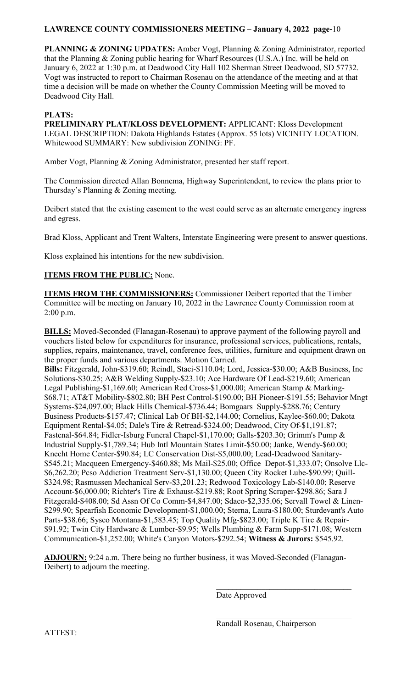**PLANNING & ZONING UPDATES:** Amber Vogt, Planning & Zoning Administrator, reported that the Planning & Zoning public hearing for Wharf Resources (U.S.A.) Inc. will be held on January 6, 2022 at 1:30 p.m. at Deadwood City Hall 102 Sherman Street Deadwood, SD 57732. Vogt was instructed to report to Chairman Rosenau on the attendance of the meeting and at that time a decision will be made on whether the County Commission Meeting will be moved to Deadwood City Hall.

# **PLATS:**

**PRELIMINARY PLAT/KLOSS DEVELOPMENT:** APPLICANT: Kloss Development LEGAL DESCRIPTION: Dakota Highlands Estates (Approx. 55 lots) VICINITY LOCATION. Whitewood SUMMARY: New subdivision ZONING: PF.

Amber Vogt, Planning & Zoning Administrator, presented her staff report.

The Commission directed Allan Bonnema, Highway Superintendent, to review the plans prior to Thursday's Planning & Zoning meeting.

Deibert stated that the existing easement to the west could serve as an alternate emergency ingress and egress.

Brad Kloss, Applicant and Trent Walters, Interstate Engineering were present to answer questions.

Kloss explained his intentions for the new subdivision.

# **ITEMS FROM THE PUBLIC:** None.

**ITEMS FROM THE COMMISSIONERS:** Commissioner Deibert reported that the Timber Committee will be meeting on January 10, 2022 in the Lawrence County Commission room at 2:00 p.m.

**BILLS:** Moved-Seconded (Flanagan-Rosenau) to approve payment of the following payroll and vouchers listed below for expenditures for insurance, professional services, publications, rentals, supplies, repairs, maintenance, travel, conference fees, utilities, furniture and equipment drawn on the proper funds and various departments. Motion Carried.

**Bills:** Fitzgerald, John-\$319.60; Reindl, Staci-\$110.04; Lord, Jessica-\$30.00; A&B Business, Inc Solutions-\$30.25; A&B Welding Supply-\$23.10; Ace Hardware Of Lead-\$219.60; American Legal Publishing-\$1,169.60; American Red Cross-\$1,000.00; American Stamp & Marking- \$68.71; AT&T Mobility-\$802.80; BH Pest Control-\$190.00; BH Pioneer-\$191.55; Behavior Mngt Systems-\$24,097.00; Black Hills Chemical-\$736.44; Bomgaars Supply-\$288.76; Century Business Products-\$157.47; Clinical Lab Of BH-\$2,144.00; Cornelius, Kaylee-\$60.00; Dakota Equipment Rental-\$4.05; Dale's Tire & Retread-\$324.00; Deadwood, City Of-\$1,191.87; Fastenal-\$64.84; Fidler-Isburg Funeral Chapel-\$1,170.00; Galls-\$203.30; Grimm's Pump & Industrial Supply-\$1,789.34; Hub Intl Mountain States Limit-\$50.00; Janke, Wendy-\$60.00; Knecht Home Center-\$90.84; LC Conservation Dist-\$5,000.00; Lead-Deadwood Sanitary- \$545.21; Macqueen Emergency-\$460.88; Ms Mail-\$25.00; Office Depot-\$1,333.07; Onsolve Llc- \$6,262.20; Pcso Addiction Treatment Serv-\$1,130.00; Queen City Rocket Lube-\$90.99; Quill- \$324.98; Rasmussen Mechanical Serv-\$3,201.23; Redwood Toxicology Lab-\$140.00; Reserve Account-\$6,000.00; Richter's Tire & Exhaust-\$219.88; Root Spring Scraper-\$298.86; Sara J Fitzgerald-\$408.00; Sd Assn Of Co Comm-\$4,847.00; Sdaco-\$2,335.06; Servall Towel & Linen- \$299.90; Spearfish Economic Development-\$1,000.00; Sterna, Laura-\$180.00; Sturdevant's Auto Parts-\$38.66; Sysco Montana-\$1,583.45; Top Quality Mfg-\$823.00; Triple K Tire & Repair- \$91.92; Twin City Hardware & Lumber-\$9.95; Wells Plumbing & Farm Supp-\$171.08; Western Communication-\$1,252.00; White's Canyon Motors-\$292.54; **Witness & Jurors:** \$545.92.

**ADJOURN:** 9:24 a.m. There being no further business, it was Moved-Seconded (Flanagan-Deibert) to adjourn the meeting.

 $\frac{1}{\sqrt{2}}$  ,  $\frac{1}{\sqrt{2}}$  ,  $\frac{1}{\sqrt{2}}$  ,  $\frac{1}{\sqrt{2}}$  ,  $\frac{1}{\sqrt{2}}$  ,  $\frac{1}{\sqrt{2}}$  ,  $\frac{1}{\sqrt{2}}$  ,  $\frac{1}{\sqrt{2}}$  ,  $\frac{1}{\sqrt{2}}$  ,  $\frac{1}{\sqrt{2}}$  ,  $\frac{1}{\sqrt{2}}$  ,  $\frac{1}{\sqrt{2}}$  ,  $\frac{1}{\sqrt{2}}$  ,  $\frac{1}{\sqrt{2}}$  ,  $\frac{1}{\sqrt{2}}$ 

Date Approved